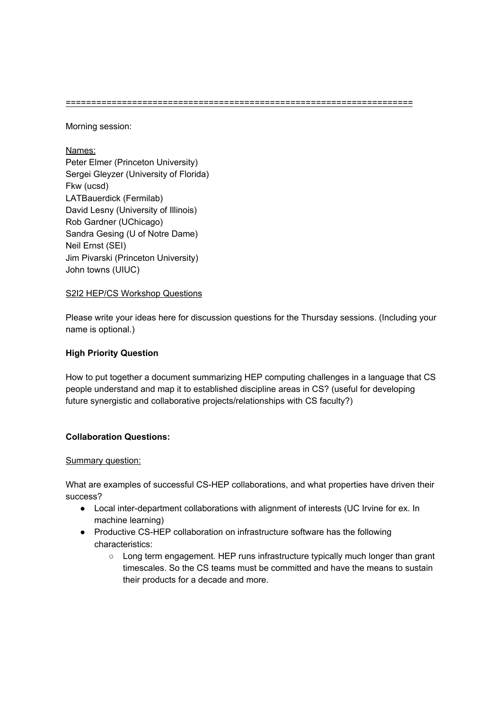====================================================================

Morning session:

Names: Peter Elmer (Princeton University) Sergei Gleyzer (University of Florida) Fkw (ucsd) LATBauerdick (Fermilab) David Lesny (University of Illinois) Rob Gardner (UChicago) Sandra Gesing (U of Notre Dame) Neil Ernst (SEI) Jim Pivarski (Princeton University) John towns (UIUC)

#### S2I2 HEP/CS Workshop Questions

Please write your ideas here for discussion questions for the Thursday sessions. (Including your name is optional.)

### **High Priority Question**

How to put together a document summarizing HEP computing challenges in a language that CS people understand and map it to established discipline areas in CS? (useful for developing future synergistic and collaborative projects/relationships with CS faculty?)

# **Collaboration Questions:**

#### Summary question:

What are examples of successful CS-HEP collaborations, and what properties have driven their success?

- Local inter-department collaborations with alignment of interests (UC Irvine for ex. In machine learning)
- Productive CS-HEP collaboration on infrastructure software has the following characteristics:
	- Long term engagement. HEP runs infrastructure typically much longer than grant timescales. So the CS teams must be committed and have the means to sustain their products for a decade and more.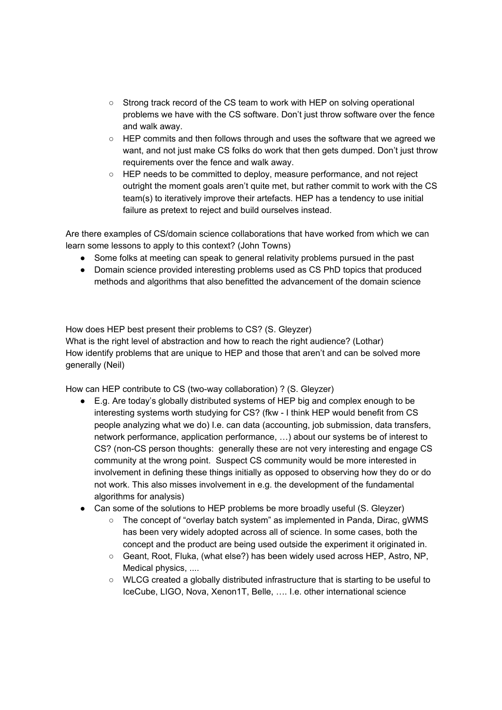- Strong track record of the CS team to work with HEP on solving operational problems we have with the CS software. Don't just throw software over the fence and walk away.
- HEP commits and then follows through and uses the software that we agreed we want, and not just make CS folks do work that then gets dumped. Don't just throw requirements over the fence and walk away.
- HEP needs to be committed to deploy, measure performance, and not reject outright the moment goals aren't quite met, but rather commit to work with the CS team(s) to iteratively improve their artefacts. HEP has a tendency to use initial failure as pretext to reject and build ourselves instead.

Are there examples of CS/domain science collaborations that have worked from which we can learn some lessons to apply to this context? (John Towns)

- Some folks at meeting can speak to general relativity problems pursued in the past
- Domain science provided interesting problems used as CS PhD topics that produced methods and algorithms that also benefitted the advancement of the domain science

How does HEP best present their problems to CS? (S. Gleyzer)

What is the right level of abstraction and how to reach the right audience? (Lothar) How identify problems that are unique to HEP and those that aren't and can be solved more generally (Neil)

How can HEP contribute to CS (two-way collaboration) ? (S. Gleyzer)

- E.g. Are today's globally distributed systems of HEP big and complex enough to be interesting systems worth studying for CS? (fkw - I think HEP would benefit from CS people analyzing what we do) I.e. can data (accounting, job submission, data transfers, network performance, application performance, …) about our systems be of interest to CS? (non-CS person thoughts: generally these are not very interesting and engage CS community at the wrong point. Suspect CS community would be more interested in involvement in defining these things initially as opposed to observing how they do or do not work. This also misses involvement in e.g. the development of the fundamental algorithms for analysis)
- Can some of the solutions to HEP problems be more broadly useful (S. Gleyzer)
	- The concept of "overlay batch system" as implemented in Panda, Dirac, gWMS has been very widely adopted across all of science. In some cases, both the concept and the product are being used outside the experiment it originated in.
	- Geant, Root, Fluka, (what else?) has been widely used across HEP, Astro, NP, Medical physics, ....
	- WLCG created a globally distributed infrastructure that is starting to be useful to IceCube, LIGO, Nova, Xenon1T, Belle, …. I.e. other international science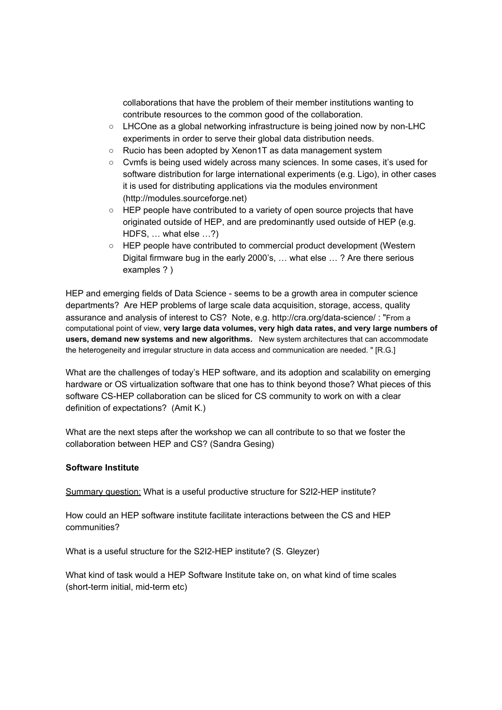collaborations that have the problem of their member institutions wanting to contribute resources to the common good of the collaboration.

- LHCOne as a global networking infrastructure is being joined now by non-LHC experiments in order to serve their global data distribution needs.
- Rucio has been adopted by Xenon1T as data management system
- Cvmfs is being used widely across many sciences. In some cases, it's used for software distribution for large international experiments (e.g. Ligo), in other cases it is used for distributing applications via the modules environment (http://modules.sourceforge.net)
- HEP people have contributed to a variety of open source projects that have originated outside of HEP, and are predominantly used outside of HEP (e.g. HDFS, … what else …?)
- HEP people have contributed to commercial product development (Western Digital firmware bug in the early 2000's, … what else … ? Are there serious examples ? )

HEP and emerging fields of Data Science - seems to be a growth area in computer science departments? Are HEP problems of large scale data acquisition, storage, access, quality assurance and analysis of interest to CS? Note, e.g. http://cra.org/data-science/ : "From a computational point of view, **very large data volumes, very high data rates, and very large numbers of users, demand new systems and new algorithms.** New system architectures that can accommodate the heterogeneity and irregular structure in data access and communication are needed. " [R.G.]

What are the challenges of today's HEP software, and its adoption and scalability on emerging hardware or OS virtualization software that one has to think beyond those? What pieces of this software CS-HEP collaboration can be sliced for CS community to work on with a clear definition of expectations? (Amit K.)

What are the next steps after the workshop we can all contribute to so that we foster the collaboration between HEP and CS? (Sandra Gesing)

#### **Software Institute**

Summary question: What is a useful productive structure for S2I2-HEP institute?

How could an HEP software institute facilitate interactions between the CS and HEP communities?

What is a useful structure for the S2I2-HEP institute? (S. Gleyzer)

What kind of task would a HEP Software Institute take on, on what kind of time scales (short-term initial, mid-term etc)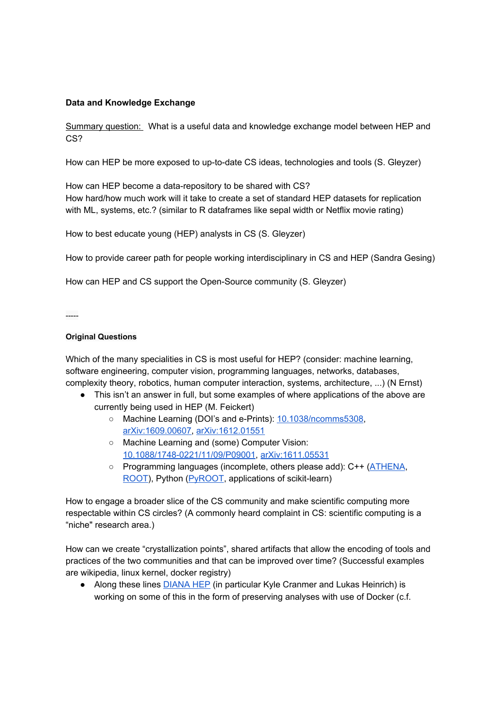## **Data and Knowledge Exchange**

Summary question: What is a useful data and knowledge exchange model between HEP and CS?

How can HEP be more exposed to up-to-date CS ideas, technologies and tools (S. Gleyzer)

How can HEP become a data-repository to be shared with CS? How hard/how much work will it take to create a set of standard HEP datasets for replication with ML, systems, etc.? (similar to R dataframes like sepal width or Netflix movie rating)

How to best educate young (HEP) analysts in CS (S. Gleyzer)

How to provide career path for people working interdisciplinary in CS and HEP (Sandra Gesing)

How can HEP and CS support the Open-Source community (S. Gleyzer)

-----

#### **Original Questions**

Which of the many specialities in CS is most useful for HEP? (consider: machine learning, software engineering, computer vision, programming languages, networks, databases, complexity theory, robotics, human computer interaction, systems, architecture, ...) (N Ernst)

- This isn't an answer in full, but some examples of where applications of the above are currently being used in HEP (M. Feickert)
	- Machine Learning (DOI's and e-Prints): 10.1038/ncomms5308, arXiv:1609.00607, arXiv:1612.01551
	- Machine Learning and (some) Computer Vision: 10.1088/1748-0221/11/09/P09001, arXiv:1611.05531
	- Programming languages (incomplete, others please add): C++ (ATHENA, ROOT), Python (PyROOT, applications of scikit-learn)

How to engage a broader slice of the CS community and make scientific computing more respectable within CS circles? (A commonly heard complaint in CS: scientific computing is a "niche" research area.)

How can we create "crystallization points", shared artifacts that allow the encoding of tools and practices of the two communities and that can be improved over time? (Successful examples are wikipedia, linux kernel, docker registry)

● Along these lines **DIANA HEP** (in particular Kyle Cranmer and Lukas Heinrich) is working on some of this in the form of preserving analyses with use of Docker (c.f.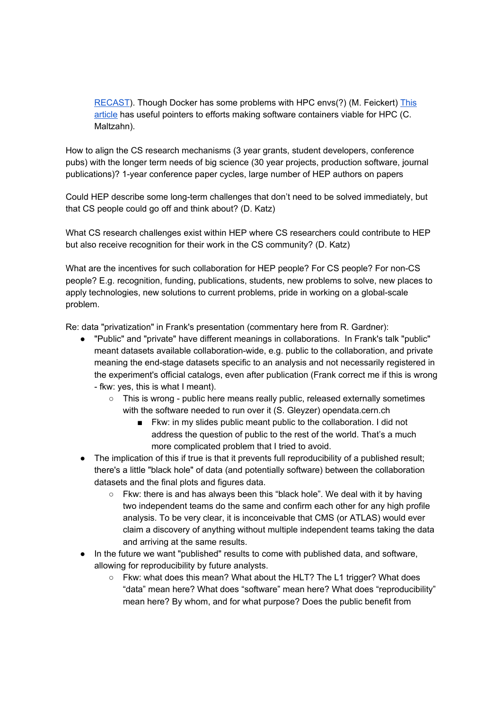RECAST). Though Docker has some problems with HPC envs(?) (M. Feickert) This article has useful pointers to efforts making software containers viable for HPC (C. Maltzahn).

How to align the CS research mechanisms (3 year grants, student developers, conference pubs) with the longer term needs of big science (30 year projects, production software, journal publications)? 1-year conference paper cycles, large number of HEP authors on papers

Could HEP describe some long-term challenges that don't need to be solved immediately, but that CS people could go off and think about? (D. Katz)

What CS research challenges exist within HEP where CS researchers could contribute to HEP but also receive recognition for their work in the CS community? (D. Katz)

What are the incentives for such collaboration for HEP people? For CS people? For non-CS people? E.g. recognition, funding, publications, students, new problems to solve, new places to apply technologies, new solutions to current problems, pride in working on a global-scale problem.

Re: data "privatization" in Frank's presentation (commentary here from R. Gardner):

- "Public" and "private" have different meanings in collaborations. In Frank's talk "public" meant datasets available collaboration-wide, e.g. public to the collaboration, and private meaning the end-stage datasets specific to an analysis and not necessarily registered in the experiment's official catalogs, even after publication (Frank correct me if this is wrong - fkw: yes, this is what I meant).
	- $\circ$  This is wrong public here means really public, released externally sometimes with the software needed to run over it (S. Gleyzer) opendata.cern.ch
		- Fkw: in my slides public meant public to the collaboration. I did not address the question of public to the rest of the world. That's a much more complicated problem that I tried to avoid.
- The implication of this if true is that it prevents full reproducibility of a published result; there's a little "black hole" of data (and potentially software) between the collaboration datasets and the final plots and figures data.
	- Fkw: there is and has always been this "black hole". We deal with it by having two independent teams do the same and confirm each other for any high profile analysis. To be very clear, it is inconceivable that CMS (or ATLAS) would ever claim a discovery of anything without multiple independent teams taking the data and arriving at the same results.
- In the future we want "published" results to come with published data, and software, allowing for reproducibility by future analysts.
	- Fkw: what does this mean? What about the HLT? The L1 trigger? What does "data" mean here? What does "software" mean here? What does "reproducibility" mean here? By whom, and for what purpose? Does the public benefit from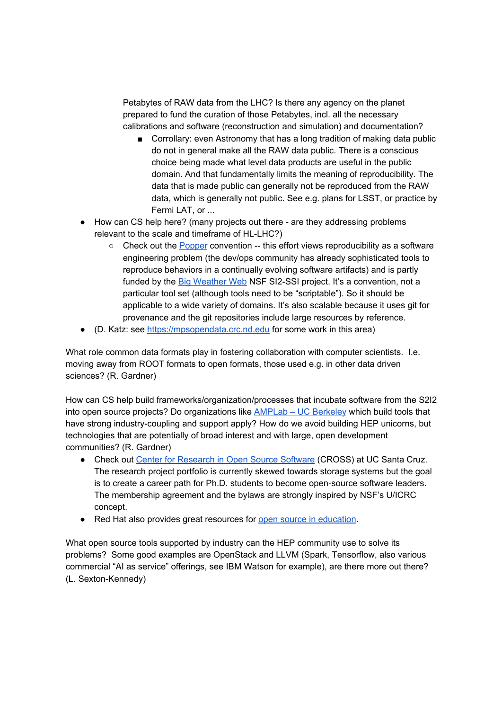Petabytes of RAW data from the LHC? Is there any agency on the planet prepared to fund the curation of those Petabytes, incl. all the necessary calibrations and software (reconstruction and simulation) and documentation?

- Corrollary: even Astronomy that has a long tradition of making data public do not in general make all the RAW data public. There is a conscious choice being made what level data products are useful in the public domain. And that fundamentally limits the meaning of reproducibility. The data that is made public can generally not be reproduced from the RAW data, which is generally not public. See e.g. plans for LSST, or practice by Fermi LAT, or ...
- How can CS help here? (many projects out there are they addressing problems relevant to the scale and timeframe of HL-LHC?)
	- $\circ$  Check out the Popper convention -- this effort views reproducibility as a software engineering problem (the dev/ops community has already sophisticated tools to reproduce behaviors in a continually evolving software artifacts) and is partly funded by the Big Weather Web NSF SI2-SSI project. It's a convention, not a particular tool set (although tools need to be "scriptable"). So it should be applicable to a wide variety of domains. It's also scalable because it uses git for provenance and the git repositories include large resources by reference.
- (D. Katz: see https://mpsopendata.crc.nd.edu for some work in this area)

What role common data formats play in fostering collaboration with computer scientists. I.e. moving away from ROOT formats to open formats, those used e.g. in other data driven sciences? (R. Gardner)

How can CS help build frameworks/organization/processes that incubate software from the S2I2 into open source projects? Do organizations like AMPLab – UC Berkeley which build tools that have strong industry-coupling and support apply? How do we avoid building HEP unicorns, but technologies that are potentially of broad interest and with large, open development communities? (R. Gardner)

- Check out Center for Research in Open Source Software (CROSS) at UC Santa Cruz. The research project portfolio is currently skewed towards storage systems but the goal is to create a career path for Ph.D. students to become open-source software leaders. The membership agreement and the bylaws are strongly inspired by NSF's U/ICRC concept.
- Red Hat also provides great resources for open source in education.

What open source tools supported by industry can the HEP community use to solve its problems? Some good examples are OpenStack and LLVM (Spark, Tensorflow, also various commercial "AI as service" offerings, see IBM Watson for example), are there more out there? (L. Sexton-Kennedy)